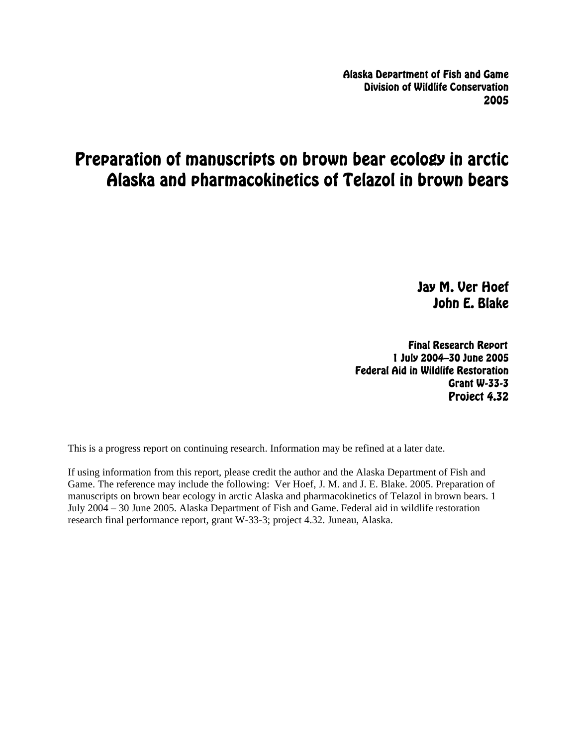Alaska Department of Fish and Game Division of Wildlife Conservation 2005

# Preparation of manuscripts on brown bear ecology in arctic Alaska and pharmacokinetics of Telazol in brown bears

Jay M. Ver Hoef John E. Blake

Final Research Report 1 July 2004–30 June 2005 Federal Aid in Wildlife Restoration Grant W-33-3 Project 4.32

This is a progress report on continuing research. Information may be refined at a later date.

If using information from this report, please credit the author and the Alaska Department of Fish and Game. The reference may include the following: Ver Hoef, J. M. and J. E. Blake. 2005. Preparation of manuscripts on brown bear ecology in arctic Alaska and pharmacokinetics of Telazol in brown bears. 1 July 2004 – 30 June 2005. Alaska Department of Fish and Game. Federal aid in wildlife restoration research final performance report, grant W-33-3; project 4.32. Juneau, Alaska.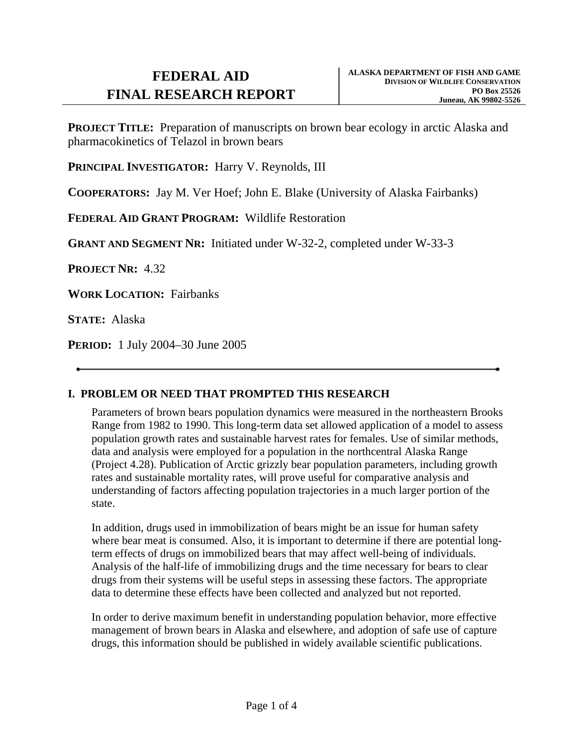**PROJECT TITLE:** Preparation of manuscripts on brown bear ecology in arctic Alaska and pharmacokinetics of Telazol in brown bears

PRINCIPAL **INVESTIGATOR:** Harry V. Reynolds, III

**COOPERATORS:** Jay M. Ver Hoef; John E. Blake (University of Alaska Fairbanks)

**FEDERAL AID GRANT PROGRAM:** Wildlife Restoration

**GRANT AND SEGMENT NR:** Initiated under W-32-2, completed under W-33-3

**PROJECT NR:** 4.32

**WORK LOCATION:** Fairbanks

**STATE:** Alaska

**PERIOD:** 1 July 2004–30 June 2005

### **I. PROBLEM OR NEED THAT PROMPTED THIS RESEARCH**

Parameters of brown bears population dynamics were measured in the northeastern Brooks Range from 1982 to 1990. This long-term data set allowed application of a model to assess population growth rates and sustainable harvest rates for females. Use of similar methods, data and analysis were employed for a population in the northcentral Alaska Range (Project 4.28). Publication of Arctic grizzly bear population parameters, including growth rates and sustainable mortality rates, will prove useful for comparative analysis and understanding of factors affecting population trajectories in a much larger portion of the state.

In addition, drugs used in immobilization of bears might be an issue for human safety where bear meat is consumed. Also, it is important to determine if there are potential longterm effects of drugs on immobilized bears that may affect well-being of individuals. Analysis of the half-life of immobilizing drugs and the time necessary for bears to clear drugs from their systems will be useful steps in assessing these factors. The appropriate data to determine these effects have been collected and analyzed but not reported.

In order to derive maximum benefit in understanding population behavior, more effective management of brown bears in Alaska and elsewhere, and adoption of safe use of capture drugs, this information should be published in widely available scientific publications.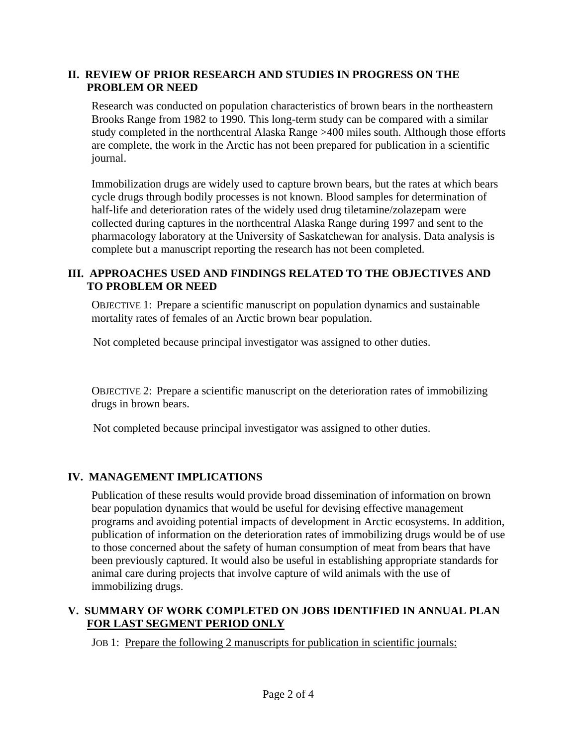### **II. REVIEW OF PRIOR RESEARCH AND STUDIES IN PROGRESS ON THE PROBLEM OR NEED**

Research was conducted on population characteristics of brown bears in the northeastern Brooks Range from 1982 to 1990. This long-term study can be compared with a similar study completed in the northcentral Alaska Range >400 miles south. Although those efforts are complete, the work in the Arctic has not been prepared for publication in a scientific journal.

Immobilization drugs are widely used to capture brown bears, but the rates at which bears cycle drugs through bodily processes is not known. Blood samples for determination of half-life and deterioration rates of the widely used drug tiletamine/zolazepam were collected during captures in the northcentral Alaska Range during 1997 and sent to the pharmacology laboratory at the University of Saskatchewan for analysis. Data analysis is complete but a manuscript reporting the research has not been completed.

## **III. APPROACHES USED AND FINDINGS RELATED TO THE OBJECTIVES AND TO PROBLEM OR NEED**

OBJECTIVE 1: Prepare a scientific manuscript on population dynamics and sustainable mortality rates of females of an Arctic brown bear population.

Not completed because principal investigator was assigned to other duties.

OBJECTIVE 2: Prepare a scientific manuscript on the deterioration rates of immobilizing drugs in brown bears.

Not completed because principal investigator was assigned to other duties.

# **IV. MANAGEMENT IMPLICATIONS**

Publication of these results would provide broad dissemination of information on brown bear population dynamics that would be useful for devising effective management programs and avoiding potential impacts of development in Arctic ecosystems. In addition, publication of information on the deterioration rates of immobilizing drugs would be of use to those concerned about the safety of human consumption of meat from bears that have been previously captured. It would also be useful in establishing appropriate standards for animal care during projects that involve capture of wild animals with the use of immobilizing drugs.

# **V. SUMMARY OF WORK COMPLETED ON JOBS IDENTIFIED IN ANNUAL PLAN FOR LAST SEGMENT PERIOD ONLY**

JOB 1: Prepare the following 2 manuscripts for publication in scientific journals: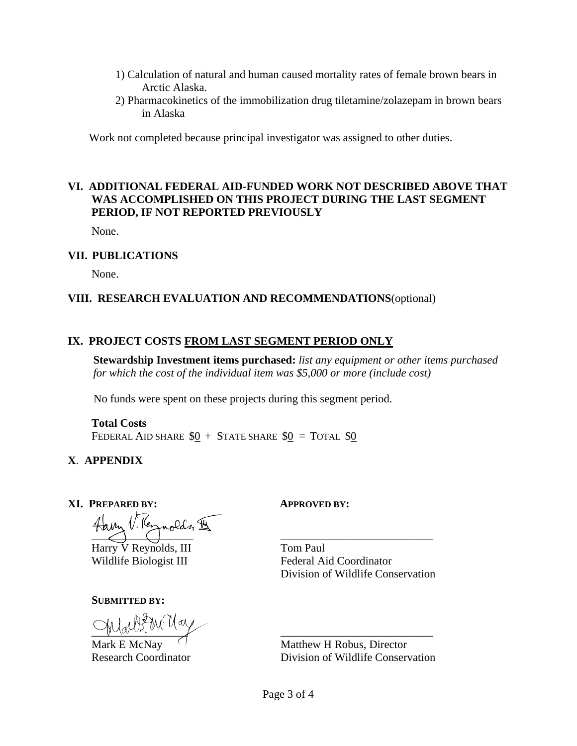- 1) Calculation of natural and human caused mortality rates of female brown bears in Arctic Alaska.
- 2) Pharmacokinetics of the immobilization drug tiletamine/zolazepam in brown bears in Alaska

Work not completed because principal investigator was assigned to other duties.

### **VI. ADDITIONAL FEDERAL AID-FUNDED WORK NOT DESCRIBED ABOVE THAT WAS ACCOMPLISHED ON THIS PROJECT DURING THE LAST SEGMENT PERIOD, IF NOT REPORTED PREVIOUSLY**

None.

#### **VII. PUBLICATIONS**

None.

#### **VIII. RESEARCH EVALUATION AND RECOMMENDATIONS**(optional)

#### **IX. PROJECT COSTS FROM LAST SEGMENT PERIOD ONLY**

**Stewardship Investment items purchased:** *list any equipment or other items purchased for which the cost of the individual item was \$5,000 or more (include cost)*

No funds were spent on these projects during this segment period.

### **Total Costs**

FEDERAL AID SHARE  $$0 +$  State share  $$0 =$  Total \$0

#### **X**. **APPENDIX**

#### **XI. PREPARED BY: APPROVED BY:**

Haven V. Vernolds &

Harry V Reynolds, III Wildlife Biologist III

#### **SUBMITTED BY:**

 $\sqrt{N}$ 

Mark E McNay Research Coordinator

Tom Paul Federal Aid Coordinator Division of Wildlife Conservation

\_\_\_\_\_\_\_\_\_\_\_\_\_\_\_\_\_\_\_\_\_\_\_\_\_\_\_

\_\_\_\_\_\_\_\_\_\_\_\_\_\_\_\_\_\_\_\_\_\_\_\_\_\_\_ Matthew H Robus, Director Division of Wildlife Conservation